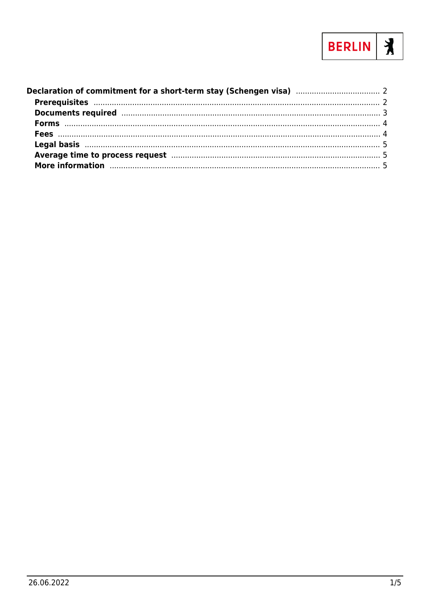

| More information manufactured and the contract of the contract of the contract of the contract of the contract of the contract of the contract of the contract of the contract of the contract of the contract of the contract |  |
|--------------------------------------------------------------------------------------------------------------------------------------------------------------------------------------------------------------------------------|--|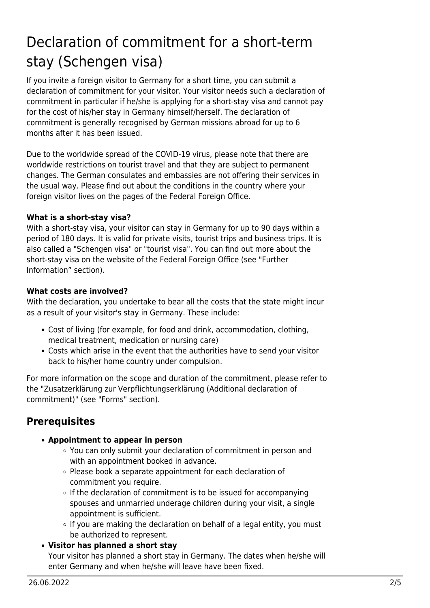# <span id="page-1-0"></span>Declaration of commitment for a short-term stay (Schengen visa)

If you invite a foreign visitor to Germany for a short time, you can submit a declaration of commitment for your visitor. Your visitor needs such a declaration of commitment in particular if he/she is applying for a short-stay visa and cannot pay for the cost of his/her stay in Germany himself/herself. The declaration of commitment is generally recognised by German missions abroad for up to 6 months after it has been issued.

Due to the worldwide spread of the COVID-19 virus, please note that there are worldwide restrictions on tourist travel and that they are subject to permanent changes. The German consulates and embassies are not offering their services in the usual way. Please find out about the conditions in the country where your foreign visitor lives on the pages of the Federal Foreign Office.

#### **What is a short-stay visa?**

With a short-stay visa, your visitor can stay in Germany for up to 90 days within a period of 180 days. It is valid for private visits, tourist trips and business trips. It is also called a "Schengen visa" or "tourist visa". You can find out more about the short-stay visa on the website of the Federal Foreign Office (see "Further Information" section).

#### **What costs are involved?**

With the declaration, you undertake to bear all the costs that the state might incur as a result of your visitor's stay in Germany. These include:

- Cost of living (for example, for food and drink, accommodation, clothing, medical treatment, medication or nursing care)
- Costs which arise in the event that the authorities have to send your visitor back to his/her home country under compulsion.

For more information on the scope and duration of the commitment, please refer to the "Zusatzerklärung zur Verpflichtungserklärung (Additional declaration of commitment)" (see "Forms" section).

# <span id="page-1-1"></span>**Prerequisites**

#### **Appointment to appear in person**

- You can only submit your declaration of commitment in person and with an appointment booked in advance.
- $\circ$  Please book a separate appointment for each declaration of commitment you require.
- $\circ$  If the declaration of commitment is to be issued for accompanying spouses and unmarried underage children during your visit, a single appointment is sufficient.
- $\circ$  If you are making the declaration on behalf of a legal entity, you must be authorized to represent.
- **Visitor has planned a short stay**

Your visitor has planned a short stay in Germany. The dates when he/she will enter Germany and when he/she will leave have been fixed.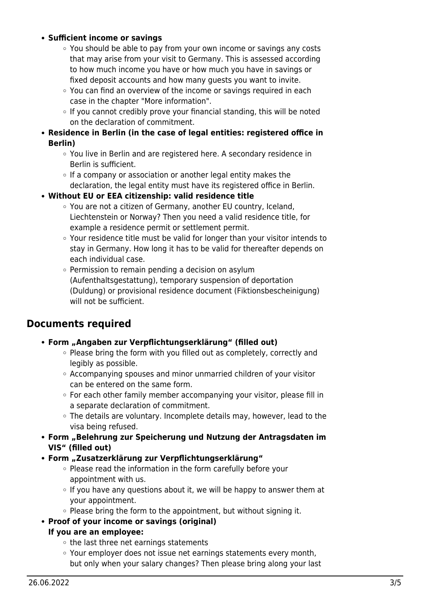#### **Sufficient income or savings**

- $\circ$  You should be able to pay from your own income or savings any costs that may arise from your visit to Germany. This is assessed according to how much income you have or how much you have in savings or fixed deposit accounts and how many guests you want to invite.
- $\circ$  You can find an overview of the income or savings required in each case in the chapter "More information".
- $\circ$  If you cannot credibly prove your financial standing, this will be noted on the declaration of commitment.
- **Residence in Berlin (in the case of legal entities: registered office in Berlin)**
	- You live in Berlin and are registered here. A secondary residence in Berlin is sufficient.
	- $\circ$  If a company or association or another legal entity makes the declaration, the legal entity must have its registered office in Berlin.
- **Without EU or EEA citizenship: valid residence title**
	- You are not a citizen of Germany, another EU country, Iceland, Liechtenstein or Norway? Then you need a valid residence title, for example a residence permit or settlement permit.
	- Your residence title must be valid for longer than your visitor intends to stay in Germany. How long it has to be valid for thereafter depends on each individual case.
	- $\circ$  Permission to remain pending a decision on asylum (Aufenthaltsgestattung), temporary suspension of deportation (Duldung) or provisional residence document (Fiktionsbescheinigung) will not be sufficient.

# <span id="page-2-0"></span>**Documents required**

#### **Form "Angaben zur Verpflichtungserklärung" (filled out)**

- $\circ$  Please bring the form with you filled out as completely, correctly and legibly as possible.
- $\circ$  Accompanying spouses and minor unmarried children of your visitor can be entered on the same form.
- $\circ$  For each other family member accompanying your visitor, please fill in a separate declaration of commitment.
- The details are voluntary. Incomplete details may, however, lead to the visa being refused.
- **Form "Belehrung zur Speicherung und Nutzung der Antragsdaten im VIS" (filled out)**
- **Form "Zusatzerklärung zur Verpflichtungserklärung"**
	- Please read the information in the form carefully before your appointment with us.
	- $\circ$  If you have any questions about it, we will be happy to answer them at your appointment.
	- $\circ$  Please bring the form to the appointment, but without signing it.
- **Proof of your income or savings (original)**

#### **If you are an employee:**

- $\circ$  the last three net earnings statements
- Your employer does not issue net earnings statements every month, but only when your salary changes? Then please bring along your last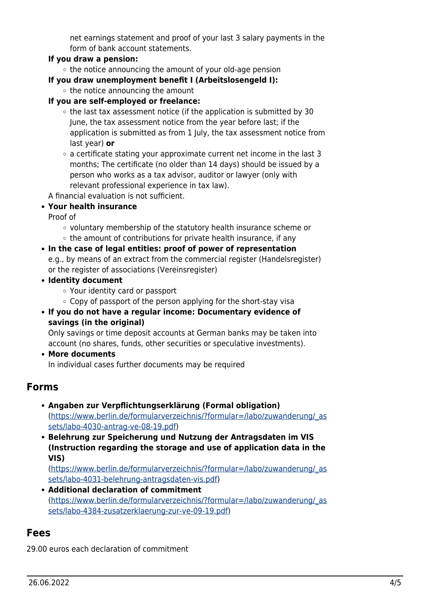net earnings statement and proof of your last 3 salary payments in the form of bank account statements.

#### **If you draw a pension:**

 $\circ$  the notice announcing the amount of your old-age pension

**If you draw unemployment benefit I (Arbeitslosengeld I):**

 $\circ$  the notice announcing the amount

#### **If you are self-employed or freelance:**

- $\circ$  the last tax assessment notice (if the application is submitted by 30 June, the tax assessment notice from the year before last; if the application is submitted as from 1 July, the tax assessment notice from last year) **or**
- $\circ$  a certificate stating your approximate current net income in the last 3 months; The certificate (no older than 14 days) should be issued by a person who works as a tax advisor, auditor or lawyer (only with relevant professional experience in tax law).

A financial evaluation is not sufficient.

#### **Your health insurance**

Proof of

- voluntary membership of the statutory health insurance scheme or
- $\circ$  the amount of contributions for private health insurance, if any

#### **In the case of legal entities: proof of power of representation**

e.g., by means of an extract from the commercial register (Handelsregister) or the register of associations (Vereinsregister)

- **Identity document**
	- Your identity card or passport
	- Copy of passport of the person applying for the short-stay visa
- **If you do not have a regular income: Documentary evidence of savings (in the original)**

Only savings or time deposit accounts at German banks may be taken into account (no shares, funds, other securities or speculative investments).

**More documents**

# In individual cases further documents may be required

### <span id="page-3-0"></span>**Forms**

- **Angaben zur Verpflichtungserklärung (Formal obligation)** ([https://www.berlin.de/formularverzeichnis/?formular=/labo/zuwanderung/\\_as](https://www.berlin.de/formularverzeichnis/?formular=/labo/zuwanderung/_assets/labo-4030-antrag-ve-08-19.pdf) [sets/labo-4030-antrag-ve-08-19.pdf\)](https://www.berlin.de/formularverzeichnis/?formular=/labo/zuwanderung/_assets/labo-4030-antrag-ve-08-19.pdf)
- **Belehrung zur Speicherung und Nutzung der Antragsdaten im VIS (Instruction regarding the storage and use of application data in the VIS)**

([https://www.berlin.de/formularverzeichnis/?formular=/labo/zuwanderung/\\_as](https://www.berlin.de/formularverzeichnis/?formular=/labo/zuwanderung/_assets/labo-4031-belehrung-antragsdaten-vis.pdf) [sets/labo-4031-belehrung-antragsdaten-vis.pdf\)](https://www.berlin.de/formularverzeichnis/?formular=/labo/zuwanderung/_assets/labo-4031-belehrung-antragsdaten-vis.pdf)

**Additional declaration of commitment** ([https://www.berlin.de/formularverzeichnis/?formular=/labo/zuwanderung/\\_as](https://www.berlin.de/formularverzeichnis/?formular=/labo/zuwanderung/_assets/labo-4384-zusatzerklaerung-zur-ve-09-19.pdf) [sets/labo-4384-zusatzerklaerung-zur-ve-09-19.pdf\)](https://www.berlin.de/formularverzeichnis/?formular=/labo/zuwanderung/_assets/labo-4384-zusatzerklaerung-zur-ve-09-19.pdf)

# <span id="page-3-1"></span>**Fees**

29.00 euros each declaration of commitment